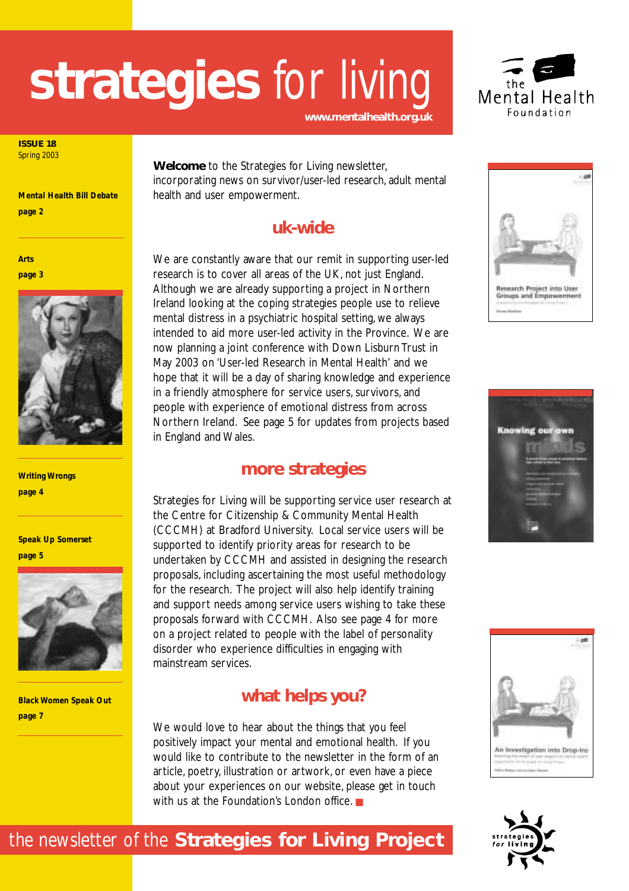

**ISSUE 18** Spring 2003

*Mental Health Bill Debate page 2*

*Arts page 3*



*Writing Wrongs page 4*

*Speak Up Somerset page 5*



*Black Women Speak Out page 7*

**Welcome** to the Strategies for Living newsletter, incorporating news on survivor/user-led research, adult mental health and user empowerment.

**www.mentalhealth.org.uk**

### **uk-wide**

We are constantly aware that our remit in supporting user-led research is to cover all areas of the UK, not just England. Although we are already supporting a project in Northern Ireland looking at the coping strategies people use to relieve mental distress in a psychiatric hospital setting, we always intended to aid more user-led activity in the Province. We are now planning a joint conference with Down Lisburn Trust in May 2003 on 'User-led Research in Mental Health' and we hope that it will be a day of sharing knowledge and experience in a friendly atmosphere for service users, survivors, and people with experience of emotional distress from across Northern Ireland. See page 5 for updates from projects based in England and Wales.

### **more strategies**

Strategies for Living will be supporting service user research at the Centre for Citizenship & Community Mental Health (CCCMH) at Bradford University. Local service users will be supported to identify priority areas for research to be undertaken by CCCMH and assisted in designing the research proposals, including ascertaining the most useful methodology for the research. The project will also help identify training and support needs among service users wishing to take these proposals forward with CCCMH. Also see page 4 for more on a project related to people with the label of personality disorder who experience difficulties in engaging with mainstream services.

### **what helps you?**

We would love to hear about the things that you feel positively impact your mental and emotional health. If you would like to contribute to the newsletter in the form of an article, poetry, illustration or artwork, or even have a piece about your experiences on our website, please get in touch with us at the Foundation's London office. ■









### the newsletter of the **Strategies for Living Project**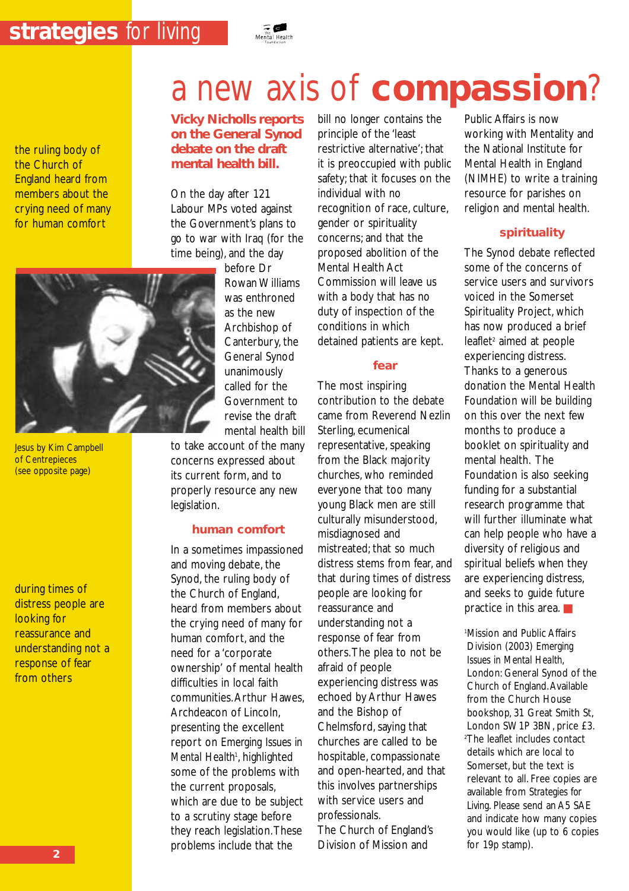the ruling body of the Church of England heard from members about the crying need of many for human comfort

#### **Vicky Nicholls reports on the General Synod debate on the draft mental health bill.**

On the day after 121 Labour MPs voted against the Government's plans to go to war with Iraq (for the time being), and the day

Jesus by Kim Campbell of Centrepieces (see opposite page)

during times of distress people are looking for reassurance and understanding not a response of fear from others

before Dr Rowan Williams was enthroned as the new Archbishop of Canterbury, the General Synod unanimously called for the Government to revise the draft mental health bill

to take account of the many concerns expressed about its current form, and to properly resource any new legislation.

#### **human comfort**

In a sometimes impassioned and moving debate, the Synod, the ruling body of the Church of England, heard from members about the crying need of many for human comfort, and the need for a 'corporate ownership' of mental health difficulties in local faith communities.Arthur Hawes, Archdeacon of Lincoln, presenting the excellent report on *Emerging Issues in* Mental Health<sup>1</sup>, highlighted some of the problems with the current proposals, which are due to be subject to a scrutiny stage before they reach legislation.These problems include that the

bill no longer contains the principle of the 'least restrictive alternative'; that it is preoccupied with public safety; that it focuses on the individual with no recognition of race, culture, gender or spirituality concerns; and that the proposed abolition of the Mental Health Act Commission will leave us with a body that has no duty of inspection of the conditions in which detained patients are kept.

#### **fear**

The most inspiring contribution to the debate came from Reverend Nezlin Sterling, ecumenical representative, speaking from the Black majority churches, who reminded everyone that too many young Black men are still culturally misunderstood, misdiagnosed and mistreated; that so much distress stems from fear, and that during times of distress people are looking for reassurance and understanding not a response of fear from others.The plea to not be afraid of people experiencing distress was echoed by Arthur Hawes and the Bishop of Chelmsford, saying that churches are called to be hospitable, compassionate and open-hearted, and that this involves partnerships with service users and professionals.

The Church of England's Division of Mission and

Public Affairs is now working with Mentality and the National Institute for Mental Health in England (NIMHE) to write a training resource for parishes on religion and mental health.

#### **spirituality**

The Synod debate reflected some of the concerns of service users and survivors voiced in the Somerset Spirituality Project, which has now produced a brief leaflet<sup>2</sup> aimed at people experiencing distress. Thanks to a generous donation the Mental Health Foundation will be building on this over the next few months to produce a booklet on spirituality and mental health. The Foundation is also seeking funding for a substantial research programme that will further illuminate what can help people who have a diversity of religious and spiritual beliefs when they are experiencing distress, and seeks to guide future practice in this area. ■

1 Mission and Public Affairs Division (2003) *Emerging Issues in Mental Health*, London: General Synod of the Church of England.Available from the Church House bookshop, 31 Great Smith St, London SW1P 3BN, price £3. 2 The leaflet includes contact details which are local to Somerset, but the text is relevant to all. Free copies are available from *Strategies for Living*. Please send an A5 SAE and indicate how many copies you would like (up to 6 copies for 19p stamp).

## a new axis of **compassion**?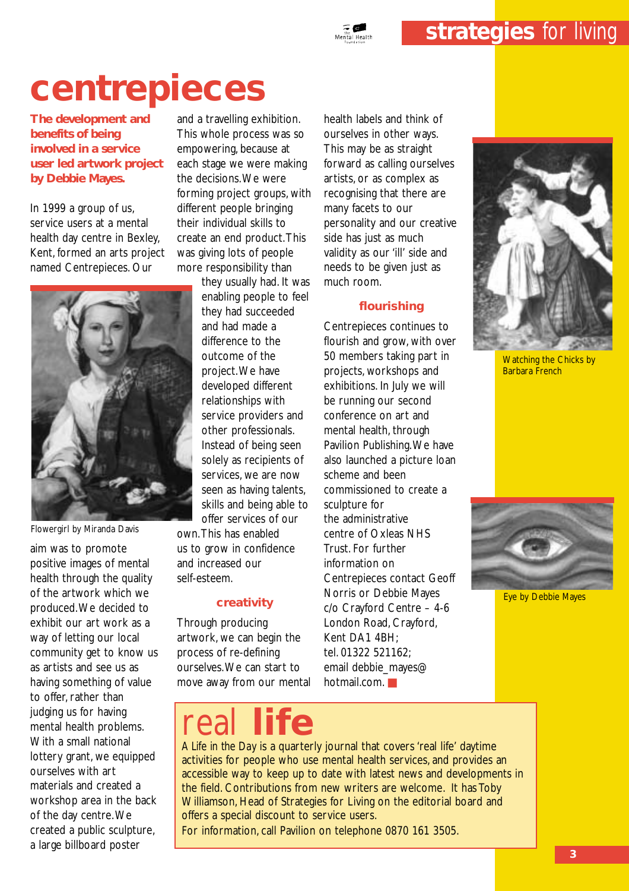## **centrepieces**

**The development and benefits of being involved in a service user led artwork project by Debbie Mayes.**

In 1999 a group of us, service users at a mental health day centre in Bexley, Kent, formed an arts project named Centrepieces. Our



Flowergirl by Miranda Davis

aim was to promote positive images of mental health through the quality of the artwork which we produced.We decided to exhibit our art work as a way of letting our local community get to know us as artists and see us as having something of value to offer, rather than judging us for having mental health problems. With a small national lottery grant, we equipped ourselves with art materials and created a workshop area in the back of the day centre.We created a public sculpture, a large billboard poster

and a travelling exhibition. This whole process was so empowering, because at each stage we were making the decisions.We were forming project groups, with different people bringing their individual skills to create an end product.This was giving lots of people more responsibility than

> they usually had. It was enabling people to feel they had succeeded and had made a difference to the outcome of the project.We have developed different relationships with service providers and other professionals. Instead of being seen solely as recipients of services, we are now seen as having talents, skills and being able to offer services of our

own.This has enabled us to grow in confidence and increased our self-esteem.

#### **creativity**

Through producing artwork, we can begin the process of re-defining ourselves.We can start to move away from our mental health labels and think of ourselves in other ways. This may be as straight forward as calling ourselves artists, or as complex as recognising that there are many facets to our personality and our creative side has just as much validity as our 'ill' side and needs to be given just as much room.

#### **flourishing**

Centrepieces continues to flourish and grow, with over 50 members taking part in projects, workshops and exhibitions. In July we will be running our second conference on art and mental health, through Pavilion Publishing.We have also launched a picture loan scheme and been commissioned to create a sculpture for the administrative centre of Oxleas NHS Trust. For further information on Centrepieces contact Geoff Norris or Debbie Mayes c/o Crayford Centre – 4-6 London Road, Crayford, Kent DA1 4BH; tel. 01322 521162; email debbie\_mayes@ hotmail.com.



Watching the Chicks by Barbara French



Eye by Debbie Mayes

real **life**

*A Life in the Day* is a quarterly journal that covers 'real life' daytime activities for people who use mental health services, and provides an accessible way to keep up to date with latest news and developments in the field. Contributions from new writers are welcome. It has Toby Williamson, Head of Strategies for Living on the editorial board and offers a special discount to service users.

For information, call Pavilion on telephone 0870 161 3505.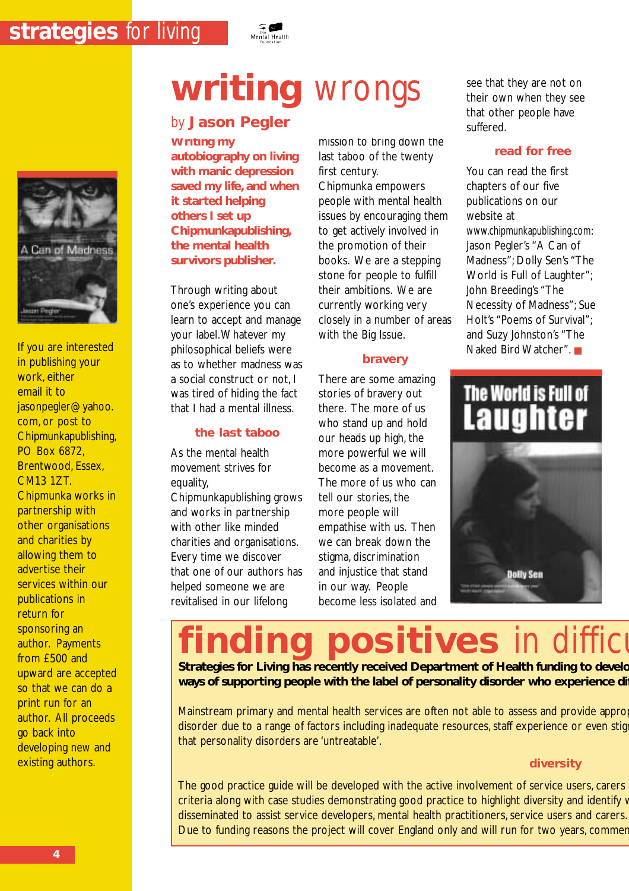

If you are interested in publishing your work, either email it to jasonpegler@yahoo. com, or post to Chipmunkapublishing, PO Box 6872, Brentwood, Essex, CM13 1ZT. Chipmunka works in partnership with other organisations and charities by allowing them to advertise their services within our publications in return for sponsoring an author. Payments from £500 and upward are accepted so that we can do a print run for an author. All proceeds go back into developing new and existing authors.

### by **Jason Pegler**

**Writing my autobiography on living with manic depression saved my life, and when it started helping others I set up Chipmunkapublishing, the mental health survivors publisher.**

Through writing about one's experience you can learn to accept and manage your label.Whatever my philosophical beliefs were as to whether madness was a social construct or not, I was tired of hiding the fact that I had a mental illness.

#### **the last taboo**

As the mental health movement strives for equality,

Chipmunkapublishing grows and works in partnership with other like minded charities and organisations. Every time we discover that one of our authors has helped someone we are revitalised in our lifelong

## **writing** wrongs

mission to bring down the last taboo of the twenty first century. Chipmunka empowers people with mental health issues by encouraging them to get actively involved in the promotion of their books. We are a stepping stone for people to fulfill their ambitions. We are currently working very closely in a number of areas with the Big Issue.

#### **bravery**

There are some amazing stories of bravery out there. The more of us who stand up and hold our heads up high, the more powerful we will become as a movement. The more of us who can tell our stories, the more people will empathise with us. Then we can break down the stigma, discrimination and injustice that stand in our way. People become less isolated and see that they are not on their own when they see that other people have suffered.

#### **read for free**

You can read the first chapters of our five publications on our website at www.chipmunkapublishing.com: Jason Pegler's "A Can of Madness"; Dolly Sen's "The World is Full of Laughter"; John Breeding's "The Necessity of Madness"; Sue Holt's "Poems of Survival"; and Suzy Johnston's "The Naked Bird Watcher". ■

## The World is Full of **Laughter**



## **positives** in difficu

**Strategies for Living has recently received Department of Health funding to develo ways of supporting people with the label of personality disorder who experience dif**

Mainstream primary and mental health services are often not able to assess and provide appro disorder due to a range of factors including inadequate resources, staff experience or even stig that personality disorders are 'untreatable'.

#### **diversity**

The good practice guide will be developed with the active involvement of service users, carers criteria along with case studies demonstrating good practice to highlight diversity and identify v disseminated to assist service developers, mental health practitioners, service users and carers. Due to funding reasons the project will cover England only and will run for two years, commer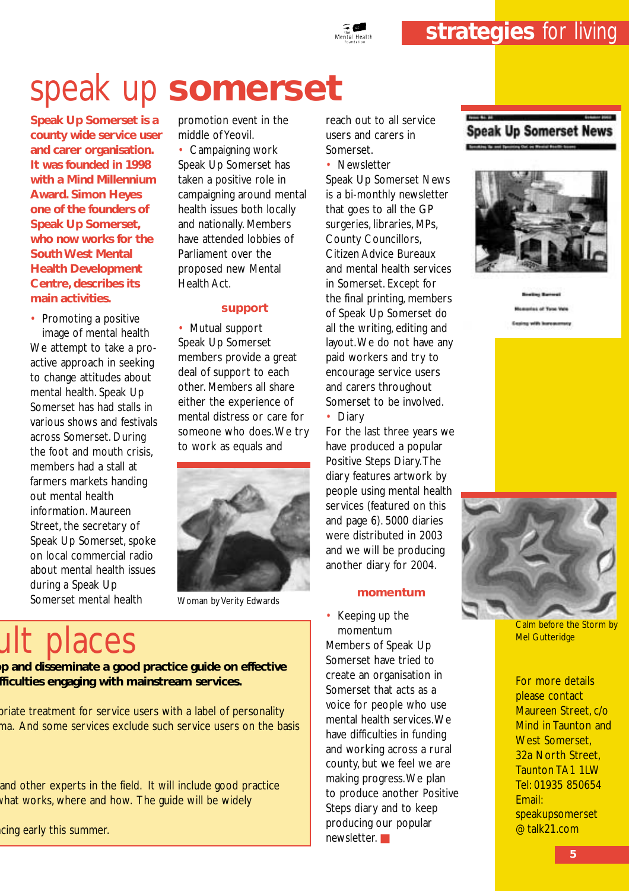

**Speak Up Somerset is a county wide service user and carer organisation. It was founded in 1998 with a Mind Millennium Award. Simon Heyes one of the founders of Speak Up Somerset, who now works for the South West Mental Health Development Centre, describes its main activities.**

• Promoting a positive image of mental health We attempt to take a proactive approach in seeking to change attitudes about mental health. Speak Up Somerset has had stalls in various shows and festivals across Somerset. During the foot and mouth crisis, members had a stall at farmers markets handing out mental health information. Maureen Street, the secretary of Speak Up Somerset, spoke on local commercial radio about mental health issues during a Speak Up Somerset mental health

promotion event in the middle of Yeovil.

• Campaigning work Speak Up Somerset has taken a positive role in campaigning around mental health issues both locally and nationally. Members have attended lobbies of Parliament over the proposed new Mental Health Act.

#### **support**

• Mutual support Speak Up Somerset members provide a great deal of support to each other. Members all share either the experience of mental distress or care for someone who does.We try to work as equals and



Woman by Verity Edwards

## ult places

**op and disseminate a good practice guide on effective fficulties engaging with mainstream services.**

priate treatment for service users with a label of personality ma. And some services exclude such service users on the basis

and other experts in the field. It will include good practice what works, where and how. The guide will be widely

cing early this summer.

reach out to all service users and carers in Somerset.

• Newsletter Speak Up Somerset News is a bi-monthly newsletter that goes to all the GP surgeries, libraries, MPs, County Councillors, Citizen Advice Bureaux and mental health services in Somerset. Except for the final printing, members of Speak Up Somerset do all the writing, editing and layout.We do not have any paid workers and try to encourage service users and carers throughout Somerset to be involved.

• Diary

For the last three years we have produced a popular Positive Steps Diary.The diary features artwork by people using mental health services (featured on this and page 6). 5000 diaries were distributed in 2003 and we will be producing another diary for 2004.

#### **momentum**

• Keeping up the momentum Members of Speak Up Somerset have tried to create an organisation in Somerset that acts as a voice for people who use mental health services.We have difficulties in funding and working across a rural county, but we feel we are making progress.We plan to produce another Positive Steps diary and to keep producing our popular newsletter. ■

#### **Speak Up Somerset News** Send by the seal Senatory Col. or Wester Booth Senator





Calm before the Storm by Mel Gutteridge

For more details please contact Maureen Street, c/o Mind in Taunton and West Somerset. 32a North Street, Taunton TA1 1LW Tel: 01935 850654 Email: speakupsomerset @talk21.com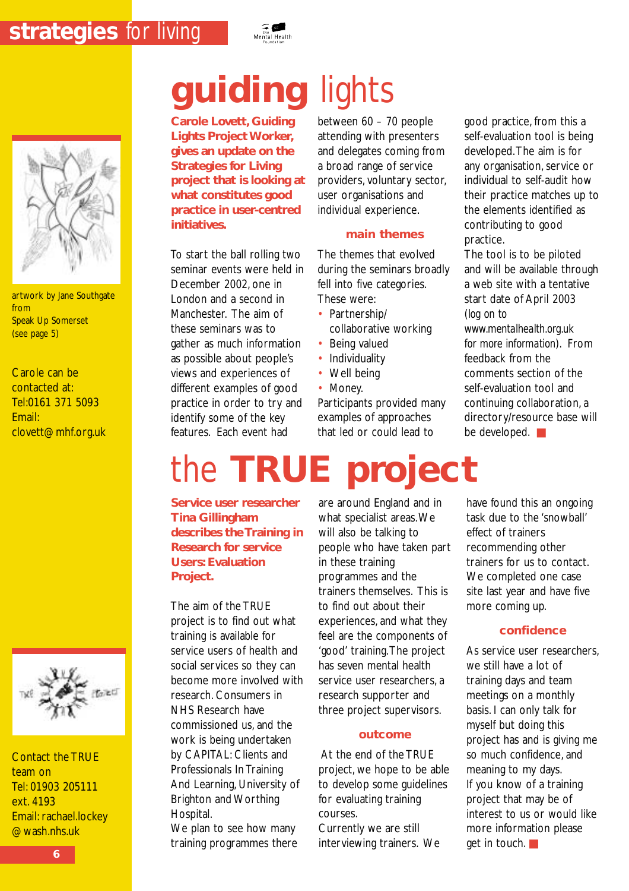

artwork by Jane Southgate from Speak Up Somerset (see page 5)

Carole can be contacted at: Tel:0161 371 5093 Email: clovett@mhf.org.uk



Contact the TRUE team on Tel: 01903 205111 ext. 4193 Email: rachael.lockey @wash.nhs.uk

## **guiding** lights

**Carole Lovett, Guiding Lights Project Worker, gives an update on the Strategies for Living project that is looking at what constitutes good practice in user-centred initiatives.**

To start the ball rolling two seminar events were held in December 2002, one in London and a second in Manchester. The aim of these seminars was to gather as much information as possible about people's views and experiences of different examples of good practice in order to try and identify some of the key features. Each event had

**Service user researcher**

**describes the Training in Research for service Users: Evaluation**

**Tina Gillingham**

The aim of the TRUE project is to find out what training is available for service users of health and social services so they can become more involved with research. Consumers in NHS Research have commissioned us, and the work is being undertaken by CAPITAL: Clients and Professionals In Training And Learning, University of Brighton and Worthing

**Project.**

Hospital.

We plan to see how many training programmes there between 60 – 70 people attending with presenters and delegates coming from a broad range of service providers, voluntary sector, user organisations and individual experience.

#### **main themes**

The themes that evolved during the seminars broadly fell into five categories. These were:

- Partnership/ collaborative working
- Being valued
- **Individuality**
- Well being
- Money.

the **TRUE project**

Participants provided many examples of approaches that led or could lead to

#### good practice, from this a self-evaluation tool is being developed.The aim is for any organisation, service or individual to self-audit how their practice matches up to the elements identified as contributing to good practice.

The tool is to be piloted and will be available through a web site with a tentative start date of April 2003 (*log on to*

*www.mentalhealth.org.uk for more information*). From feedback from the comments section of the self-evaluation tool and continuing collaboration, a directory/resource base will be developed. ■

are around England and in what specialist areas.We will also be talking to people who have taken part in these training programmes and the trainers themselves. This is to find out about their experiences, and what they feel are the components of 'good' training.The project has seven mental health service user researchers, a research supporter and three project supervisors.

#### **outcome**

At the end of the TRUE project, we hope to be able to develop some guidelines for evaluating training courses.

Currently we are still interviewing trainers. We have found this an ongoing task due to the 'snowball' effect of trainers recommending other trainers for us to contact. We completed one case site last year and have five more coming up.

#### **confidence**

As service user researchers, we still have a lot of training days and team meetings on a monthly basis. I can only talk for myself but doing this project has and is giving me so much confidence, and meaning to my days. If you know of a training project that may be of interest to us or would like more information please get in touch. ■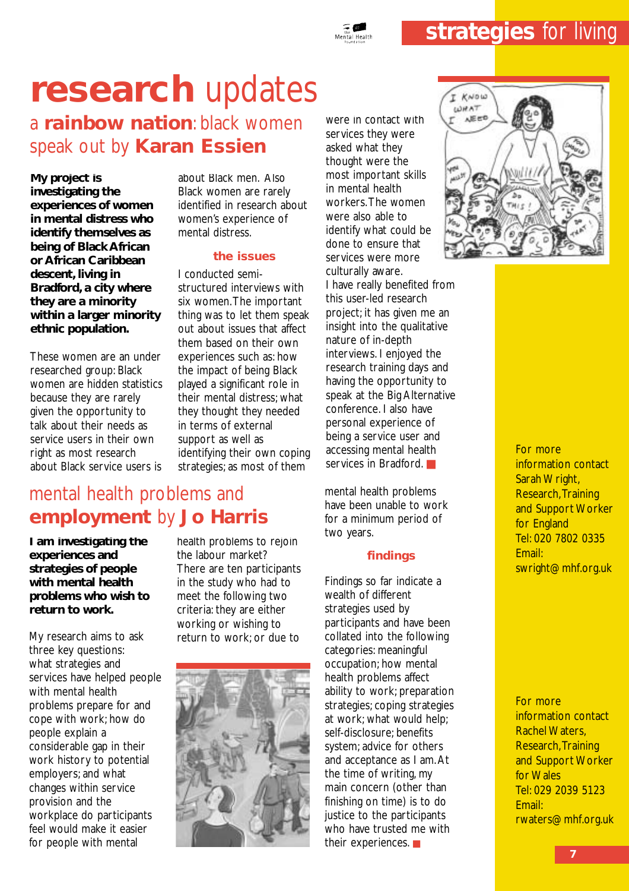## **research** updates

a **rainbow nation**: black women speak out by **Karan Essien**

**My project is investigating the experiences of women in mental distress who identify themselves as being of Black African or African Caribbean descent, living in Bradford, a city where they are a minority within a larger minority ethnic population.**

These women are an under researched group: Black women are hidden statistics because they are rarely given the opportunity to talk about their needs as service users in their own right as most research about Black service users is

about Black men. Also Black women are rarely identified in research about women's experience of mental distress.

#### **the issues**

I conducted semistructured interviews with six women.The important thing was to let them speak out about issues that affect them based on their own experiences such as: how the impact of being Black played a significant role in their mental distress; what they thought they needed in terms of external support as well as identifying their own coping strategies; as most of them

were in contact with services they were asked what they thought were the most important skills in mental health workers.The women were also able to identify what could be done to ensure that services were more culturally aware. I have really benefited from this user-led research project; it has given me an insight into the qualitative nature of in-depth interviews. I enjoyed the research training days and having the opportunity to speak at the Big Alternative conference. I also have personal experience of being a service user and accessing mental health services in Bradford.

mental health problems have been unable to work for a minimum period of two years.

#### **findings**

Findings so far indicate a wealth of different strategies used by participants and have been collated into the following categories: meaningful occupation; how mental health problems affect ability to work; preparation strategies; coping strategies at work; what would help; self-disclosure; benefits system; advice for others and acceptance as I am.At the time of writing, my main concern (other than finishing on time) is to do justice to the participants who have trusted me with their experiences. ■



For more information contact Sarah Wright, Research,Training and Support Worker for England Tel: 020 7802 0335 Email: swright@mhf.org.uk

For more information contact Rachel Waters, Research, Training and Support Worker for Wales Tel: 029 2039 5123 Email: rwaters@mhf.org.uk

### mental health problems and **employment** by **Jo Harris**

**I am investigating the experiences and strategies of people with mental health problems who wish to return to work.**

My research aims to ask three key questions: what strategies and services have helped people with mental health problems prepare for and cope with work; how do people explain a considerable gap in their work history to potential employers; and what changes within service provision and the workplace do participants feel would make it easier for people with mental

health problems to rejoin the labour market? There are ten participants in the study who had to meet the following two criteria: they are either working or wishing to return to work; or due to